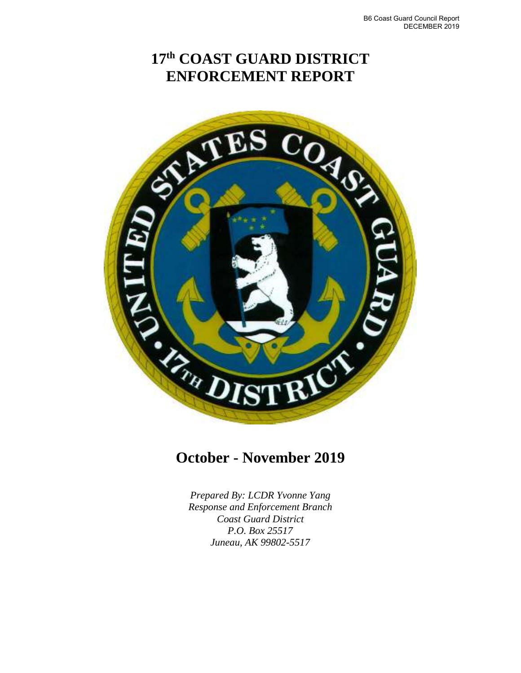# **17th COAST GUARD DISTRICT ENFORCEMENT REPORT**



# **October - November 2019**

*Prepared By: LCDR Yvonne Yang Response and Enforcement Branch Coast Guard District P.O. Box 25517 Juneau, AK 99802-5517*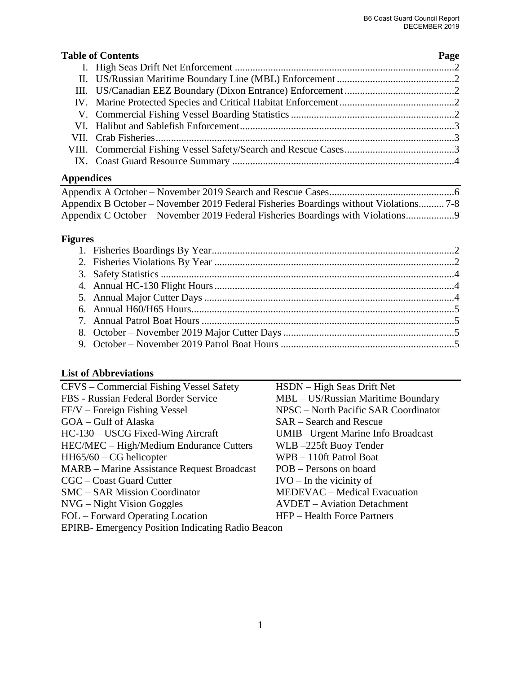### **Table of Contents** Page

# **Appendices**

| Appendix B October – November 2019 Federal Fisheries Boardings without Violations 7-8 |  |
|---------------------------------------------------------------------------------------|--|
| Appendix C October – November 2019 Federal Fisheries Boardings with Violations        |  |

# **Figures**

## **List of Abbreviations**

| CFVS – Commercial Fishing Vessel Safety                   | HSDN – High Seas Drift Net                 |
|-----------------------------------------------------------|--------------------------------------------|
| FBS - Russian Federal Border Service                      | MBL - US/Russian Maritime Boundary         |
| $FF/V - Foreign Fishing Vessel$                           | NPSC – North Pacific SAR Coordinator       |
| GOA – Gulf of Alaska                                      | SAR – Search and Rescue                    |
| HC-130 – USCG Fixed-Wing Aircraft                         | <b>UMIB</b> - Urgent Marine Info Broadcast |
| HEC/MEC - High/Medium Endurance Cutters                   | WLB-225ft Buoy Tender                      |
| $HH65/60 - CG$ helicopter                                 | WPB - 110ft Patrol Boat                    |
| <b>MARB</b> – Marine Assistance Request Broadcast         | POB – Persons on board                     |
| CGC – Coast Guard Cutter                                  | $IVO - In the vicinity of$                 |
| <b>SMC</b> – SAR Mission Coordinator                      | MEDEVAC - Medical Evacuation               |
| $NVG - Night Vision Goggles$                              | <b>AVDET</b> – Aviation Detachment         |
| FOL – Forward Operating Location                          | HFP – Health Force Partners                |
| <b>EPIRB</b> - Emergency Position Indicating Radio Beacon |                                            |
|                                                           |                                            |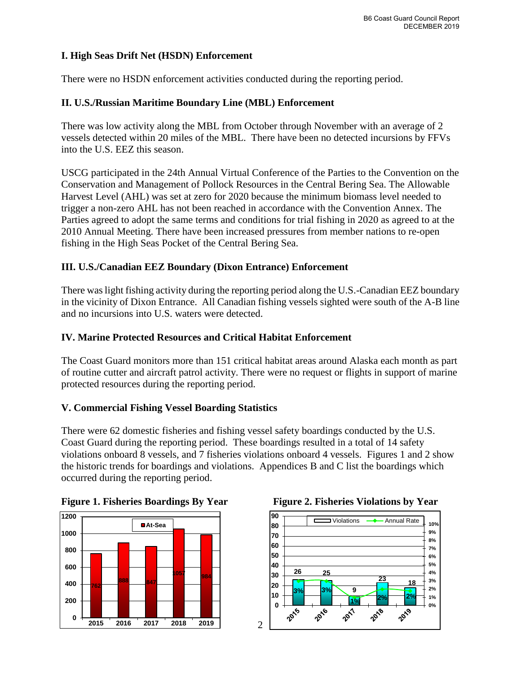### **I. High Seas Drift Net (HSDN) Enforcement**

There were no HSDN enforcement activities conducted during the reporting period.

#### **II. U.S./Russian Maritime Boundary Line (MBL) Enforcement**

There was low activity along the MBL from October through November with an average of 2 vessels detected within 20 miles of the MBL. There have been no detected incursions by FFVs into the U.S. EEZ this season.

USCG participated in the 24th Annual Virtual Conference of the Parties to the Convention on the Conservation and Management of Pollock Resources in the Central Bering Sea. The Allowable Harvest Level (AHL) was set at zero for 2020 because the minimum biomass level needed to trigger a non-zero AHL has not been reached in accordance with the Convention Annex. The Parties agreed to adopt the same terms and conditions for trial fishing in 2020 as agreed to at the 2010 Annual Meeting. There have been increased pressures from member nations to re-open fishing in the High Seas Pocket of the Central Bering Sea.

#### **III. U.S./Canadian EEZ Boundary (Dixon Entrance) Enforcement**

 There was light fishing activity during the reporting period along the U.S.-Canadian EEZ boundary in the vicinity of Dixon Entrance. All Canadian fishing vessels sighted were south of the A-B line and no incursions into U.S. waters were detected.

#### **IV. Marine Protected Resources and Critical Habitat Enforcement**

The Coast Guard monitors more than 151 critical habitat areas around Alaska each month as part of routine cutter and aircraft patrol activity. There were no request or flights in support of marine protected resources during the reporting period.

#### **V. Commercial Fishing Vessel Boarding Statistics**

 violations onboard 8 vessels, and 7 fisheries violations onboard 4 vessels. Figures 1 and 2 show the historic trends for boardings and violations. Appendices B and C list the boardings which There were 62 domestic fisheries and fishing vessel safety boardings conducted by the U.S. Coast Guard during the reporting period. These boardings resulted in a total of 14 safety occurred during the reporting period.







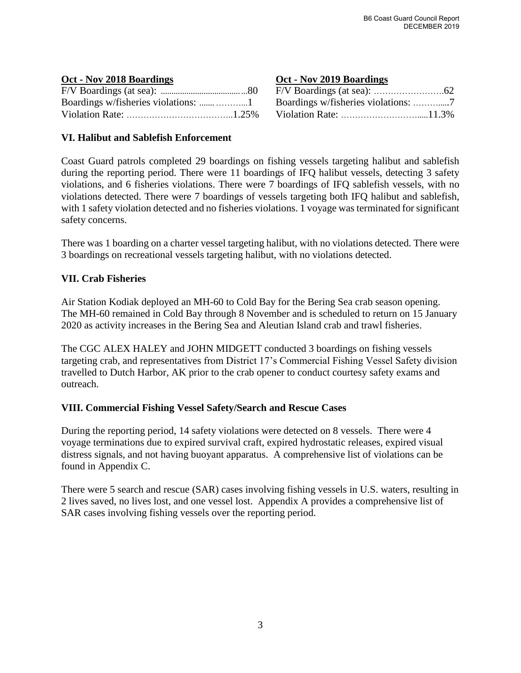#### **Oct - Nov 2018 Boardings Oct - Nov 2019 Boardings**

### **VI. Halibut and Sablefish Enforcement**

 during the reporting period. There were 11 boardings of IFQ halibut vessels, detecting 3 safety violations, and 6 fisheries violations. There were 7 boardings of IFQ sablefish vessels, with no violations detected. There were 7 boardings of vessels targeting both IFQ halibut and sablefish, with 1 safety violation detected and no fisheries violations. 1 voyage was terminated for significant Coast Guard patrols completed 29 boardings on fishing vessels targeting halibut and sablefish safety concerns.

 There was 1 boarding on a charter vessel targeting halibut, with no violations detected. There were 3 boardings on recreational vessels targeting halibut, with no violations detected.

#### **VII. Crab Fisheries**

Air Station Kodiak deployed an MH-60 to Cold Bay for the Bering Sea crab season opening. The MH-60 remained in Cold Bay through 8 November and is scheduled to return on 15 January 2020 as activity increases in the Bering Sea and Aleutian Island crab and trawl fisheries.

The CGC ALEX HALEY and JOHN MIDGETT conducted 3 boardings on fishing vessels targeting crab, and representatives from District 17's Commercial Fishing Vessel Safety division travelled to Dutch Harbor, AK prior to the crab opener to conduct courtesy safety exams and outreach.

### **VIII. Commercial Fishing Vessel Safety/Search and Rescue Cases**

 distress signals, and not having buoyant apparatus. A comprehensive list of violations can be During the reporting period, 14 safety violations were detected on 8 vessels. There were 4 voyage terminations due to expired survival craft, expired hydrostatic releases, expired visual found in Appendix C.

There were 5 search and rescue (SAR) cases involving fishing vessels in U.S. waters, resulting in 2 lives saved, no lives lost, and one vessel lost. Appendix A provides a comprehensive list of SAR cases involving fishing vessels over the reporting period.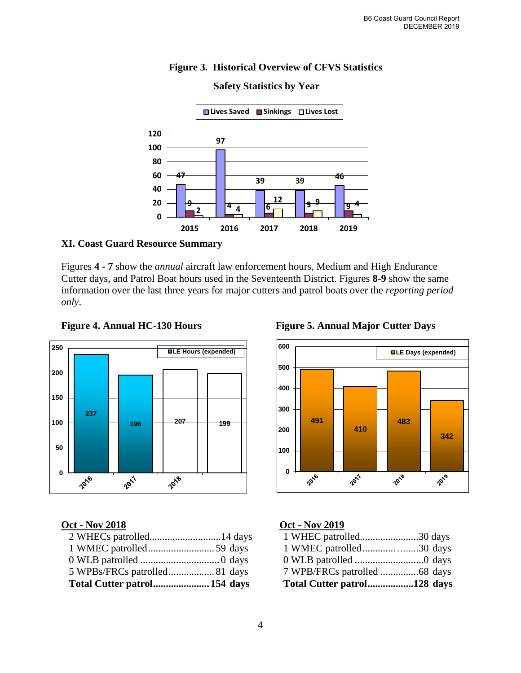### **Figure 3. Historical Overview of CFVS Statistics**



#### **Safety Statistics by Year**

#### **XI. Coast Guard Resource Summary**

Figures **4 - 7** show the *annual* aircraft law enforcement hours, Medium and High Endurance Cutter days, and Patrol Boat hours used in the Seventeenth District. Figures **8-9** show the same information over the last three years for major cutters and patrol boats over the *reporting period only*.



#### Figure 4. Annual HC-130 Hours Figure 5. Annual Major Cutter Days

| 1 WHEC patrolled30 days     |
|-----------------------------|
| 1 WMEC patrolled30 days     |
|                             |
|                             |
| Total Cutter patrol128 days |





### **Oct - Nov 2018 Oct - Nov 2019**

| Total Cutter patrol128 days  |  |
|------------------------------|--|
| 7 WPB/FRCs patrolled 68 days |  |
|                              |  |
| 1 WMEC patrolled30 days      |  |
| 1 WHEC patrolled30 days      |  |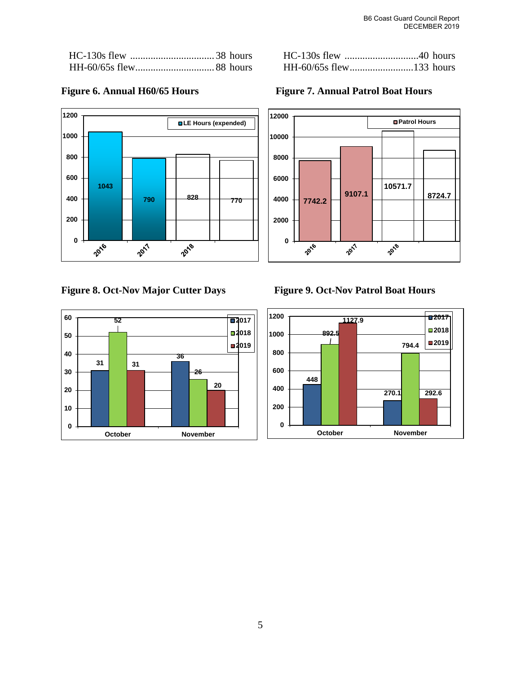| HH-60/65s flew133 hours |  |
|-------------------------|--|

### **LE Hours (expended) 790 828 770**

### **Figure 8. Oct-Nov Major Cutter Days**



**Figure 9. Oct-Nov Patrol Boat Hours** 





## Figure 6. Annual H60/65 Hours **Figure 7. Annual Patrol Boat Hours**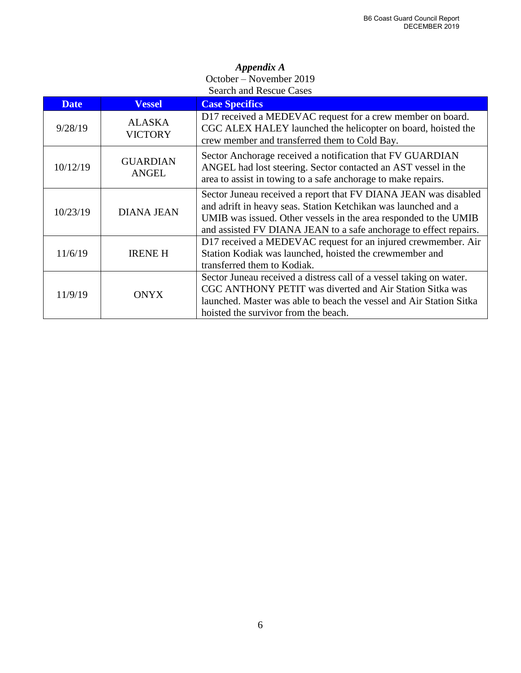#### *Appendix A*  October – November 2019 Search and Rescue Cases

| <b>Date</b> | <b>Vessel</b>                   | <b>Case Specifics</b>                                                                                                                                                                                                                                                      |  |
|-------------|---------------------------------|----------------------------------------------------------------------------------------------------------------------------------------------------------------------------------------------------------------------------------------------------------------------------|--|
| 9/28/19     | <b>ALASKA</b><br><b>VICTORY</b> | D17 received a MEDEVAC request for a crew member on board.<br>CGC ALEX HALEY launched the helicopter on board, hoisted the<br>crew member and transferred them to Cold Bay.                                                                                                |  |
| 10/12/19    | <b>GUARDIAN</b><br><b>ANGEL</b> | Sector Anchorage received a notification that FV GUARDIAN<br>ANGEL had lost steering. Sector contacted an AST vessel in the<br>area to assist in towing to a safe anchorage to make repairs.                                                                               |  |
| 10/23/19    | <b>DIANA JEAN</b>               | Sector Juneau received a report that FV DIANA JEAN was disabled<br>and adrift in heavy seas. Station Ketchikan was launched and a<br>UMIB was issued. Other vessels in the area responded to the UMIB<br>and assisted FV DIANA JEAN to a safe anchorage to effect repairs. |  |
| 11/6/19     | <b>IRENE H</b>                  | D17 received a MEDEVAC request for an injured crewmember. Air<br>Station Kodiak was launched, hoisted the crewmember and<br>transferred them to Kodiak.                                                                                                                    |  |
| 11/9/19     | <b>ONYX</b>                     | Sector Juneau received a distress call of a vessel taking on water.<br>CGC ANTHONY PETIT was diverted and Air Station Sitka was<br>launched. Master was able to beach the vessel and Air Station Sitka<br>hoisted the survivor from the beach.                             |  |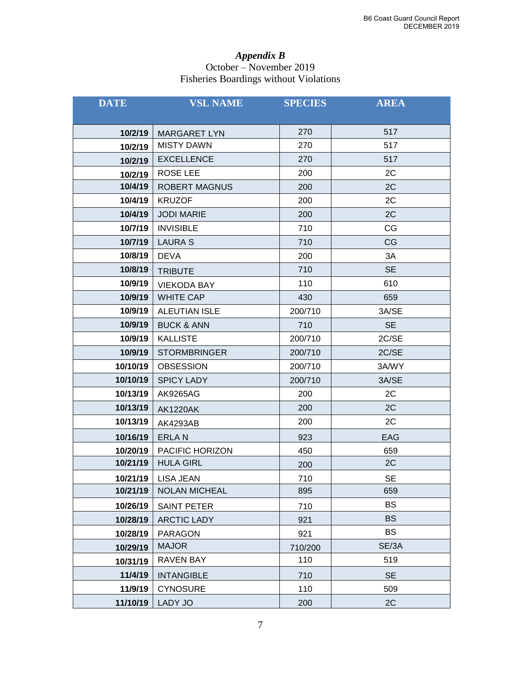#### *Appendix B*  October – November 2019 Fisheries Boardings without Violations

| <b>DATE</b> | <b>VSL NAME</b>       | <b>SPECIES</b> | <b>AREA</b> |
|-------------|-----------------------|----------------|-------------|
|             |                       |                |             |
| 10/2/19     | <b>MARGARET LYN</b>   | 270            | 517         |
| 10/2/19     | <b>MISTY DAWN</b>     | 270            | 517         |
| 10/2/19     | <b>EXCELLENCE</b>     | 270            | 517         |
| 10/2/19     | ROSE LEE              | 200            | 2C          |
| 10/4/19     | <b>ROBERT MAGNUS</b>  | 200            | 2C          |
| 10/4/19     | <b>KRUZOF</b>         | 200            | 2C          |
| 10/4/19     | <b>JODI MARIE</b>     | 200            | 2C          |
| 10/7/19     | <b>INVISIBLE</b>      | 710            | CG          |
| 10/7/19     | <b>LAURA S</b>        | 710            | CG          |
| 10/8/19     | <b>DEVA</b>           | 200            | 3A          |
| 10/8/19     | <b>TRIBUTE</b>        | 710            | <b>SE</b>   |
| 10/9/19     | <b>VIEKODA BAY</b>    | 110            | 610         |
| 10/9/19     | <b>WHITE CAP</b>      | 430            | 659         |
| 10/9/19     | <b>ALEUTIAN ISLE</b>  | 200/710        | 3A/SE       |
| 10/9/19     | <b>BUCK &amp; ANN</b> | 710            | <b>SE</b>   |
| 10/9/19     | <b>KALLISTE</b>       | 200/710        | 2C/SE       |
| 10/9/19     | <b>STORMBRINGER</b>   | 200/710        | 2C/SE       |
| 10/10/19    | <b>OBSESSION</b>      | 200/710        | 3A/WY       |
| 10/10/19    | <b>SPICY LADY</b>     | 200/710        | 3A/SE       |
| 10/13/19    | <b>AK9265AG</b>       | 200            | 2C          |
| 10/13/19    | <b>AK1220AK</b>       | 200            | 2C          |
| 10/13/19    | <b>AK4293AB</b>       | 200            | 2C          |
| 10/16/19    | <b>ERLAN</b>          | 923            | EAG         |
| 10/20/19    | PACIFIC HORIZON       | 450            | 659         |
| 10/21/19    | <b>HULA GIRL</b>      | 200            | 2C          |
| 10/21/19    | LISA JEAN             | 710            | SE          |
| 10/21/19    | <b>NOLAN MICHEAL</b>  | 895            | 659         |
| 10/26/19    | <b>SAINT PETER</b>    | 710            | <b>BS</b>   |
| 10/28/19    | <b>ARCTIC LADY</b>    | 921            | <b>BS</b>   |
| 10/28/19    | <b>PARAGON</b>        | 921            | <b>BS</b>   |
| 10/29/19    | <b>MAJOR</b>          | 710/200        | SE/3A       |
| 10/31/19    | <b>RAVEN BAY</b>      | 110            | 519         |
| 11/4/19     | <b>INTANGIBLE</b>     | 710            | <b>SE</b>   |
| 11/9/19     | <b>CYNOSURE</b>       | 110            | 509         |
| 11/10/19    | LADY JO               | 200            | 2C          |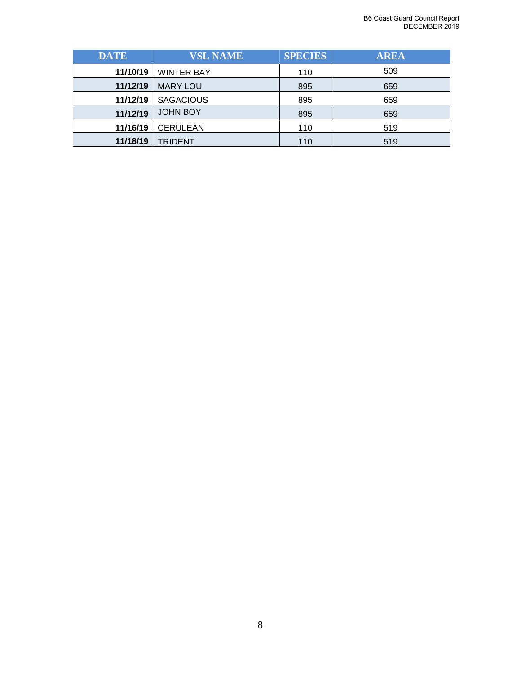| <b>DATE</b>                 | <b>VSL NAME</b>   | <b>SPECIES</b> | <b>AREA</b> |
|-----------------------------|-------------------|----------------|-------------|
| 11/10/19                    | <b>WINTER BAY</b> | 110            | 509         |
| 11/12/19                    | <b>MARY LOU</b>   | 895            | 659         |
| 11/12/19                    | <b>SAGACIOUS</b>  | 895            | 659         |
| 11/12/19                    | <b>JOHN BOY</b>   | 895            | 659         |
| 11/16/19<br><b>CERULEAN</b> |                   | 110            | 519         |
| 11/18/19                    | <b>TRIDENT</b>    | 110            | 519         |